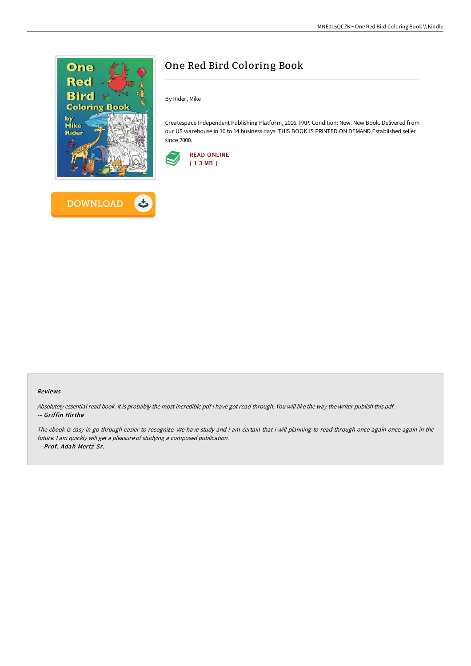

**DOWNLOAD** 

ٹ



By Rider, Mike

Createspace Independent Publishing Platform, 2016. PAP. Condition: New. New Book. Delivered from our US warehouse in 10 to 14 business days. THIS BOOK IS PRINTED ON DEMAND.Established seller since 2000.



#### Reviews

Absolutely essential read book. It is probably the most incredible pdf i have got read through. You will like the way the writer publish this pdf. -- Griffin Hirthe

The ebook is easy in go through easier to recognize. We have study and i am certain that i will planning to read through once again once again in the future. <sup>I</sup> am quickly will get <sup>a</sup> pleasure of studying <sup>a</sup> composed publication. -- Prof. Adah Mertz Sr.